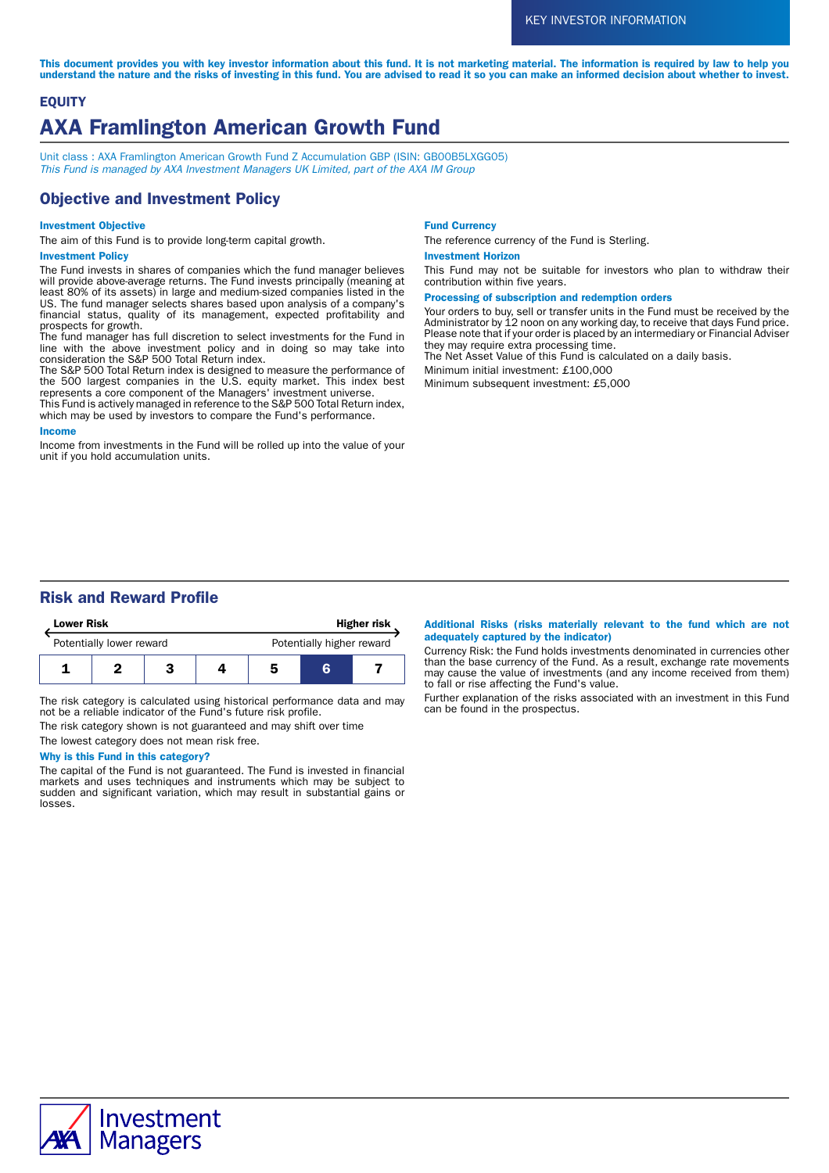This document provides you with key investor information about this fund. It is not marketing material. The information is required by law to help you understand the nature and the risks of investing in this fund. You are advised to read it so you can make an informed decision about whether to invest.

# **EQUITY** AXA Framlington American Growth Fund

Unit class : AXA Framlington American Growth Fund Z Accumulation GBP (ISIN: GB00B5LXGG05) This Fund is managed by AXA Investment Managers UK Limited, part of the AXA IM Group

# Objective and Investment Policy

### Investment Objective

The aim of this Fund is to provide long-term capital growth.

### Investment Policy

The Fund invests in shares of companies which the fund manager believes will provide above-average returns. The Fund invests principally (meaning at least 80% of its assets) in large and medium-sized companies listed in the US. The fund manager selects shares based upon analysis of a company's financial status, quality of its management, expected profitability and prospects for growth.

The fund manager has full discretion to select investments for the Fund in line with the above investment policy and in doing so may take into consideration the S&P 500 Total Return index.

The S&P 500 Total Return index is designed to measure the performance of the 500 largest companies in the U.S. equity market. This index best represents a core component of the Managers' investment universe.

This Fund is actively managed in reference to the S&P 500 Total Return index, which may be used by investors to compare the Fund's performance.

#### Income

Income from investments in the Fund will be rolled up into the value of your unit if you hold accumulation units.

#### Fund Currency

The reference currency of the Fund is Sterling.

#### Investment Horizon

This Fund may not be suitable for investors who plan to withdraw their contribution within five years.

#### Processing of subscription and redemption orders

Your orders to buy, sell or transfer units in the Fund must be received by the Administrator by 12 noon on any working day, to receive that days Fund price. Please note that if your order is placed by an intermediary or Financial Adviser they may require extra processing time.

The Net Asset Value of this Fund is calculated on a daily basis.

Minimum initial investment: £100,000

Minimum subsequent investment: £5,000

# Risk and Reward Profile

| <b>Lower Risk</b>        |  |  |  | <b>Higher risk</b>        |   |  |
|--------------------------|--|--|--|---------------------------|---|--|
| Potentially lower reward |  |  |  | Potentially higher reward |   |  |
|                          |  |  |  | 5                         | R |  |

The risk category is calculated using historical performance data and may not be a reliable indicator of the Fund's future risk profile.

The risk category shown is not guaranteed and may shift over time

The lowest category does not mean risk free.

## Why is this Fund in this category?

The capital of the Fund is not guaranteed. The Fund is invested in financial markets and uses techniques and instruments which may be subject to sudden and significant variation, which may result in substantial gains or losses.

#### Additional Risks (risks materially relevant to the fund which are not adequately captured by the indicator)

Currency Risk: the Fund holds investments denominated in currencies other than the base currency of the Fund. As a result, exchange rate movements may cause the value of investments (and any income received from them) to fall or rise affecting the Fund's value.

Further explanation of the risks associated with an investment in this Fund can be found in the prospectus.